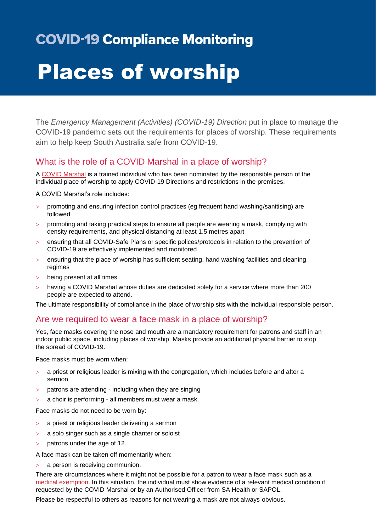# **COVID-19 Compliance Monitoring**

# Places of worship

The *Emergency Management (Activities) (COVID-19) Direction* put in place to manage the COVID-19 pandemic sets out the requirements for places of worship. These requirements aim to help keep South Australia safe from COVID-19.

# What is the role of a COVID Marshal in a place of worship?

A [COVID Marshal](https://www.covid-19.sa.gov.au/business-and-events/covid-marshals) is a trained individual who has been nominated by the responsible person of the individual place of worship to apply COVID-19 Directions and restrictions in the premises.

A COVID Marshal's role includes:

- promoting and ensuring infection control practices (eg frequent hand washing/sanitising) are followed
- promoting and taking practical steps to ensure all people are wearing a mask, complying with density requirements, and physical distancing at least 1.5 metres apart
- ensuring that all COVID-Safe Plans or specific polices/protocols in relation to the prevention of COVID-19 are effectively implemented and monitored
- $>$  ensuring that the place of worship has sufficient seating, hand washing facilities and cleaning regimes
- being present at all times
- having a COVID Marshal whose duties are dedicated solely for a service where more than 200 people are expected to attend.

The ultimate responsibility of compliance in the place of worship sits with the individual responsible person.

#### Are we required to wear a face mask in a place of worship?

Yes, face masks covering the nose and mouth are a mandatory requirement for patrons and staff in an indoor public space, including places of worship. Masks provide an additional physical barrier to stop the spread of COVID-19.

Face masks must be worn when:

- $>$  a priest or religious leader is mixing with the congregation, which includes before and after a sermon
- patrons are attending including when they are singing
- a choir is performing all members must wear a mask.

Face masks do not need to be worn by:

- a priest or religious leader delivering a sermon
- a solo singer such as a single chanter or soloist
- $>$  patrons under the age of 12.

A face mask can be taken off momentarily when:

a person is receiving communion.

There are circumstances where it might not be possible for a patron to wear a face mask such as a [medical exemption.](https://www.sahealth.sa.gov.au/wps/wcm/connect/public+content/sa+health+internet/conditions/infectious+diseases/covid-19/about+covid-19/protecting+yourself+and+others+from+covid-19/face+masks/face+masks) In this situation, the individual must show evidence of a relevant medical condition if requested by the COVID Marshal or by an Authorised Officer from SA Health or SAPOL.

Please be respectful to others as reasons for not wearing a mask are not always obvious.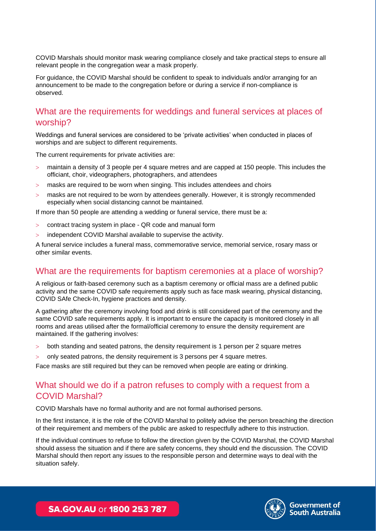COVID Marshals should monitor mask wearing compliance closely and take practical steps to ensure all relevant people in the congregation wear a mask properly.

For guidance, the COVID Marshal should be confident to speak to individuals and/or arranging for an announcement to be made to the congregation before or during a service if non-compliance is observed.

### What are the requirements for weddings and funeral services at places of worship?

Weddings and funeral services are considered to be 'private activities' when conducted in places of worships and are subject to different requirements.

The current requirements for private activities are:

- maintain a density of 3 people per 4 square metres and are capped at 150 people. This includes the officiant, choir, videographers, photographers, and attendees
- masks are required to be worn when singing. This includes attendees and choirs
- masks are not required to be worn by attendees generally. However, it is strongly recommended especially when social distancing cannot be maintained.

If more than 50 people are attending a wedding or funeral service, there must be a:

- contract tracing system in place QR code and manual form
- independent COVID Marshal available to supervise the activity.

A funeral service includes a funeral mass, commemorative service, memorial service, rosary mass or other similar events.

# What are the requirements for baptism ceremonies at a place of worship?

A religious or faith-based ceremony such as a baptism ceremony or official mass are a defined public activity and the same COVID safe requirements apply such as face mask wearing, physical distancing, COVID SAfe Check-In, hygiene practices and density.

A gathering after the ceremony involving food and drink is still considered part of the ceremony and the same COVID safe requirements apply. It is important to ensure the capacity is monitored closely in all rooms and areas utilised after the formal/official ceremony to ensure the density requirement are maintained. If the gathering involves:

- both standing and seated patrons, the density requirement is 1 person per 2 square metres
- only seated patrons, the density requirement is 3 persons per 4 square metres.

Face masks are still required but they can be removed when people are eating or drinking.

# What should we do if a patron refuses to comply with a request from a COVID Marshal?

COVID Marshals have no formal authority and are not formal authorised persons.

In the first instance, it is the role of the COVID Marshal to politely advise the person breaching the direction of their requirement and members of the public are asked to respectfully adhere to this instruction.

If the individual continues to refuse to follow the direction given by the COVID Marshal, the COVID Marshal should assess the situation and if there are safety concerns, they should end the discussion. The COVID Marshal should then report any issues to the responsible person and determine ways to deal with the situation safely.



SA.GOV.AU or 1800 253 787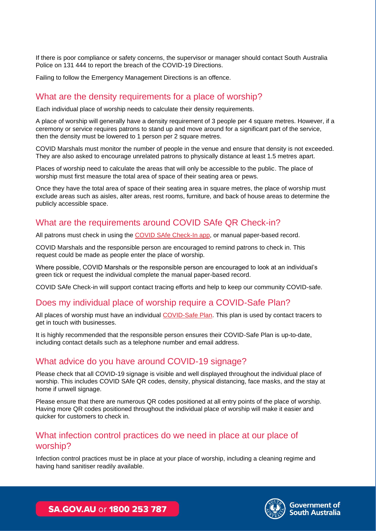If there is poor compliance or safety concerns, the supervisor or manager should contact South Australia Police on 131 444 to report the breach of the COVID-19 Directions.

Failing to follow the Emergency Management Directions is an offence.

#### What are the density requirements for a place of worship?

Each individual place of worship needs to calculate their density requirements.

A place of worship will generally have a density requirement of 3 people per 4 square metres. However, if a ceremony or service requires patrons to stand up and move around for a significant part of the service, then the density must be lowered to 1 person per 2 square metres.

COVID Marshals must monitor the number of people in the venue and ensure that density is not exceeded. They are also asked to encourage unrelated patrons to physically distance at least 1.5 metres apart.

Places of worship need to calculate the areas that will only be accessible to the public. The place of worship must first measure the total area of space of their seating area or pews.

Once they have the total area of space of their seating area in square metres, the place of worship must exclude areas such as aisles, alter areas, rest rooms, furniture, and back of house areas to determine the publicly accessible space.

#### What are the requirements around COVID SAfe QR Check-in?

All patrons must check in using the [COVID SAfe Check-In app,](https://www.covid-19.sa.gov.au/business-and-events/covid-safe-check-in) or manual paper-based record.

COVID Marshals and the responsible person are encouraged to remind patrons to check in. This request could be made as people enter the place of worship.

Where possible, COVID Marshals or the responsible person are encouraged to look at an individual's green tick or request the individual complete the manual paper-based record.

COVID SAfe Check-in will support contact tracing efforts and help to keep our community COVID-safe.

# Does my individual place of worship require a COVID-Safe Plan?

All places of worship must have an individual [COVID-Safe Plan.](https://www.covid-19.sa.gov.au/business-and-events/create-a-covid-safe-plan) This plan is used by contact tracers to get in touch with businesses.

It is highly recommended that the responsible person ensures their COVID-Safe Plan is up-to-date, including contact details such as a telephone number and email address.

#### What advice do you have around COVID-19 signage?

Please check that all COVID-19 signage is visible and well displayed throughout the individual place of worship. This includes COVID SAfe QR codes, density, physical distancing, face masks, and the stay at home if unwell signage.

Please ensure that there are numerous QR codes positioned at all entry points of the place of worship. Having more QR codes positioned throughout the individual place of worship will make it easier and quicker for customers to check in.

# What infection control practices do we need in place at our place of worship?

Infection control practices must be in place at your place of worship, including a cleaning regime and having hand sanitiser readily available.



SA.GOV.AU or 1800 253 787